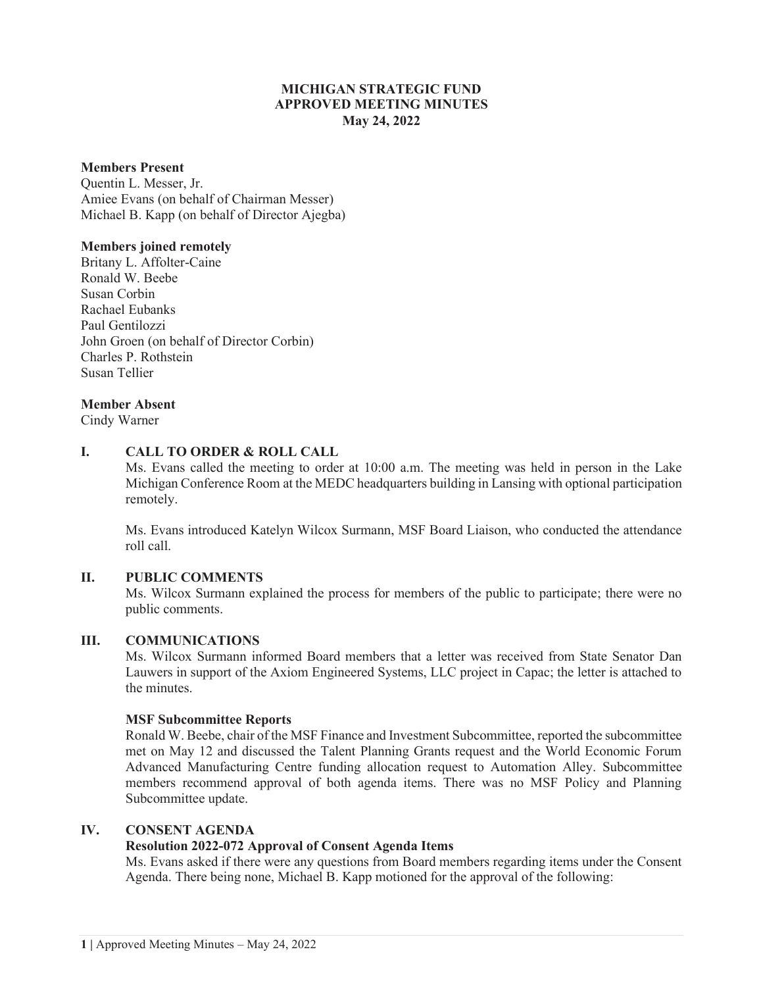# **MICHIGAN STRATEGIC FUND APPROVED MEETING MINUTES May 24, 2022**

#### **Members Present**

Quentin L. Messer, Jr. Amiee Evans (on behalf of Chairman Messer) Michael B. Kapp (on behalf of Director Ajegba)

#### **Members joined remotely**

Britany L. Affolter-Caine Ronald W. Beebe Susan Corbin Rachael Eubanks Paul Gentilozzi John Groen (on behalf of Director Corbin) Charles P. Rothstein Susan Tellier

## **Member Absent**

Cindy Warner

## **I. CALL TO ORDER & ROLL CALL**

Ms. Evans called the meeting to order at 10:00 a.m. The meeting was held in person in the Lake Michigan Conference Room at the MEDC headquarters building in Lansing with optional participation remotely.

Ms. Evans introduced Katelyn Wilcox Surmann, MSF Board Liaison, who conducted the attendance roll call.

## **II. PUBLIC COMMENTS**

Ms. Wilcox Surmann explained the process for members of the public to participate; there were no public comments.

## **III. COMMUNICATIONS**

Ms. Wilcox Surmann informed Board members that a letter was received from State Senator Dan Lauwers in support of the Axiom Engineered Systems, LLC project in Capac; the letter is attached to the minutes.

#### **MSF Subcommittee Reports**

Ronald W. Beebe, chair of the MSF Finance and Investment Subcommittee, reported the subcommittee met on May 12 and discussed the Talent Planning Grants request and the World Economic Forum Advanced Manufacturing Centre funding allocation request to Automation Alley. Subcommittee members recommend approval of both agenda items. There was no MSF Policy and Planning Subcommittee update.

## **IV. CONSENT AGENDA**

## **Resolution 2022-072 Approval of Consent Agenda Items**

Ms. Evans asked if there were any questions from Board members regarding items under the Consent Agenda. There being none, Michael B. Kapp motioned for the approval of the following: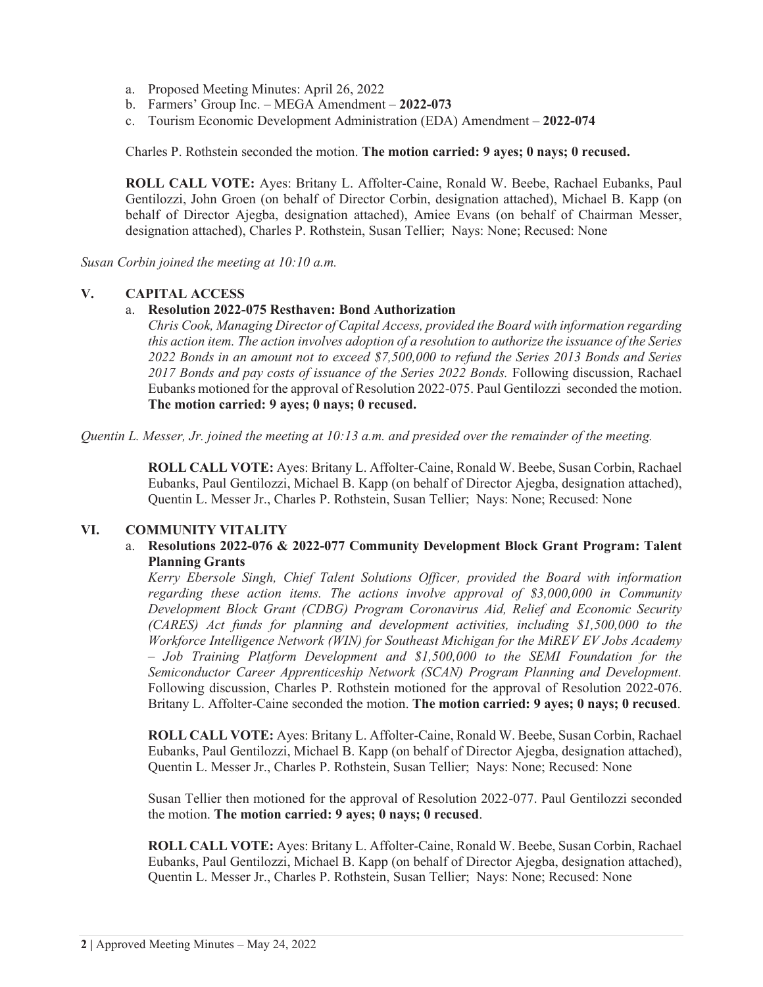- a. Proposed Meeting Minutes: April 26, 2022
- b. Farmers' Group Inc. MEGA Amendment **2022-073**
- c. Tourism Economic Development Administration (EDA) Amendment – **2022-074**

Charles P. Rothstein seconded the motion. **The motion carried: 9 ayes; 0 nays; 0 recused.** 

**ROLL CALL VOTE:** Ayes: Britany L. Affolter-Caine, Ronald W. Beebe, Rachael Eubanks, Paul Gentilozzi, John Groen (on behalf of Director Corbin, designation attached), Michael B. Kapp (on behalf of Director Ajegba, designation attached), Amiee Evans (on behalf of Chairman Messer, designation attached), Charles P. Rothstein, Susan Tellier; Nays: None; Recused: None

*Susan Corbin joined the meeting at 10:10 a.m.* 

## **V. CAPITAL ACCESS**

## a. **Resolution 2022-075 Resthaven: Bond Authorization**

*Chris Cook, Managing Director of Capital Access, provided the Board with information regarding this action item. The action involves adoption of a resolution to authorize the issuance of the Series 2022 Bonds in an amount not to exceed \$7,500,000 to refund the Series 2013 Bonds and Series 2017 Bonds and pay costs of issuance of the Series 2022 Bonds.* Following discussion, Rachael Eubanks motioned for the approval of Resolution 2022-075. Paul Gentilozzi seconded the motion. **The motion carried: 9 ayes; 0 nays; 0 recused.** 

*Quentin L. Messer, Jr. joined the meeting at 10:13 a.m. and presided over the remainder of the meeting.*

**ROLL CALL VOTE:** Ayes: Britany L. Affolter-Caine, Ronald W. Beebe, Susan Corbin, Rachael Eubanks, Paul Gentilozzi, Michael B. Kapp (on behalf of Director Ajegba, designation attached), Quentin L. Messer Jr., Charles P. Rothstein, Susan Tellier; Nays: None; Recused: None

## **VI. COMMUNITY VITALITY**

## a. **Resolutions 2022-076 & 2022-077 Community Development Block Grant Program: Talent Planning Grants**

*Kerry Ebersole Singh, Chief Talent Solutions Officer, provided the Board with information regarding these action items. The actions involve approval of \$3,000,000 in Community Development Block Grant (CDBG) Program Coronavirus Aid, Relief and Economic Security (CARES) Act funds for planning and development activities, including \$1,500,000 to the Workforce Intelligence Network (WIN) for Southeast Michigan for the MiREV EV Jobs Academy – Job Training Platform Development and \$1,500,000 to the SEMI Foundation for the Semiconductor Career Apprenticeship Network (SCAN) Program Planning and Development.*  Following discussion, Charles P. Rothstein motioned for the approval of Resolution 2022-076. Britany L. Affolter-Caine seconded the motion. **The motion carried: 9 ayes; 0 nays; 0 recused**.

**ROLL CALL VOTE:** Ayes: Britany L. Affolter-Caine, Ronald W. Beebe, Susan Corbin, Rachael Eubanks, Paul Gentilozzi, Michael B. Kapp (on behalf of Director Ajegba, designation attached), Quentin L. Messer Jr., Charles P. Rothstein, Susan Tellier; Nays: None; Recused: None

Susan Tellier then motioned for the approval of Resolution 2022-077. Paul Gentilozzi seconded the motion. **The motion carried: 9 ayes; 0 nays; 0 recused**.

**ROLL CALL VOTE:** Ayes: Britany L. Affolter-Caine, Ronald W. Beebe, Susan Corbin, Rachael Eubanks, Paul Gentilozzi, Michael B. Kapp (on behalf of Director Ajegba, designation attached), Quentin L. Messer Jr., Charles P. Rothstein, Susan Tellier; Nays: None; Recused: None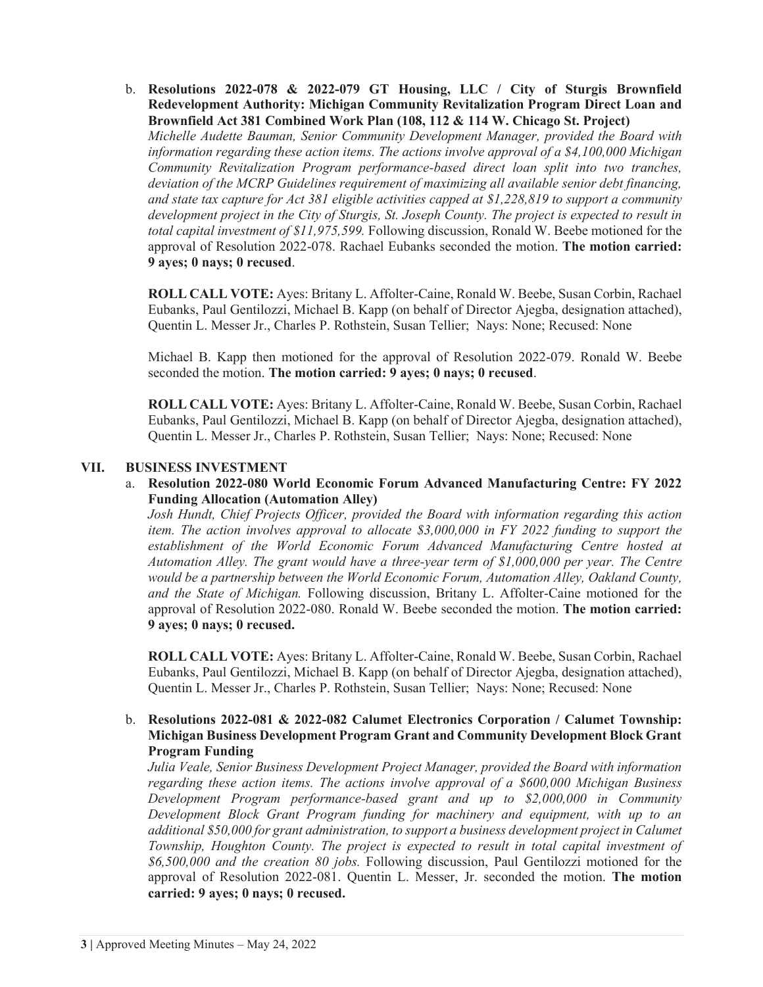b. **Resolutions 2022-078 & 2022-079 GT Housing, LLC / City of Sturgis Brownfield Redevelopment Authority: Michigan Community Revitalization Program Direct Loan and Brownfield Act 381 Combined Work Plan (108, 112 & 114 W. Chicago St. Project)**  *Michelle Audette Bauman, Senior Community Development Manager, provided the Board with information regarding these action items. The actions involve approval of a \$4,100,000 Michigan Community Revitalization Program performance-based direct loan split into two tranches, deviation of the MCRP Guidelines requirement of maximizing all available senior debt financing, and state tax capture for Act 381 eligible activities capped at \$1,228,819 to support a community development project in the City of Sturgis, St. Joseph County. The project is expected to result in total capital investment of \$11,975,599.* Following discussion, Ronald W. Beebe motioned for the approval of Resolution 2022-078. Rachael Eubanks seconded the motion. **The motion carried: 9 ayes; 0 nays; 0 recused**.

**ROLL CALL VOTE:** Ayes: Britany L. Affolter-Caine, Ronald W. Beebe, Susan Corbin, Rachael Eubanks, Paul Gentilozzi, Michael B. Kapp (on behalf of Director Ajegba, designation attached), Quentin L. Messer Jr., Charles P. Rothstein, Susan Tellier; Nays: None; Recused: None

Michael B. Kapp then motioned for the approval of Resolution 2022-079. Ronald W. Beebe seconded the motion. **The motion carried: 9 ayes; 0 nays; 0 recused**.

**ROLL CALL VOTE:** Ayes: Britany L. Affolter-Caine, Ronald W. Beebe, Susan Corbin, Rachael Eubanks, Paul Gentilozzi, Michael B. Kapp (on behalf of Director Ajegba, designation attached), Quentin L. Messer Jr., Charles P. Rothstein, Susan Tellier; Nays: None; Recused: None

#### **VII. BUSINESS INVESTMENT**

a. **Resolution 2022-080 World Economic Forum Advanced Manufacturing Centre: FY 2022 Funding Allocation (Automation Alley)** 

*Josh Hundt, Chief Projects Officer, provided the Board with information regarding this action item. The action involves approval to allocate \$3,000,000 in FY 2022 funding to support the establishment of the World Economic Forum Advanced Manufacturing Centre hosted at Automation Alley. The grant would have a three-year term of \$1,000,000 per year. The Centre would be a partnership between the World Economic Forum, Automation Alley, Oakland County, and the State of Michigan.* Following discussion, Britany L. Affolter-Caine motioned for the approval of Resolution 2022-080. Ronald W. Beebe seconded the motion. **The motion carried: 9 ayes; 0 nays; 0 recused.** 

**ROLL CALL VOTE:** Ayes: Britany L. Affolter-Caine, Ronald W. Beebe, Susan Corbin, Rachael Eubanks, Paul Gentilozzi, Michael B. Kapp (on behalf of Director Ajegba, designation attached), Quentin L. Messer Jr., Charles P. Rothstein, Susan Tellier; Nays: None; Recused: None

#### b. **Resolutions 2022-081 & 2022-082 Calumet Electronics Corporation / Calumet Township: Michigan Business Development Program Grant and Community Development Block Grant Program Funding**

*Julia Veale, Senior Business Development Project Manager, provided the Board with information regarding these action items. The actions involve approval of a \$600,000 Michigan Business Development Program performance-based grant and up to \$2,000,000 in Community Development Block Grant Program funding for machinery and equipment, with up to an additional \$50,000 for grant administration, to support a business development project in Calumet Township, Houghton County. The project is expected to result in total capital investment of \$6,500,000 and the creation 80 jobs.* Following discussion, Paul Gentilozzi motioned for the approval of Resolution 2022-081. Quentin L. Messer, Jr. seconded the motion. **The motion carried: 9 ayes; 0 nays; 0 recused.**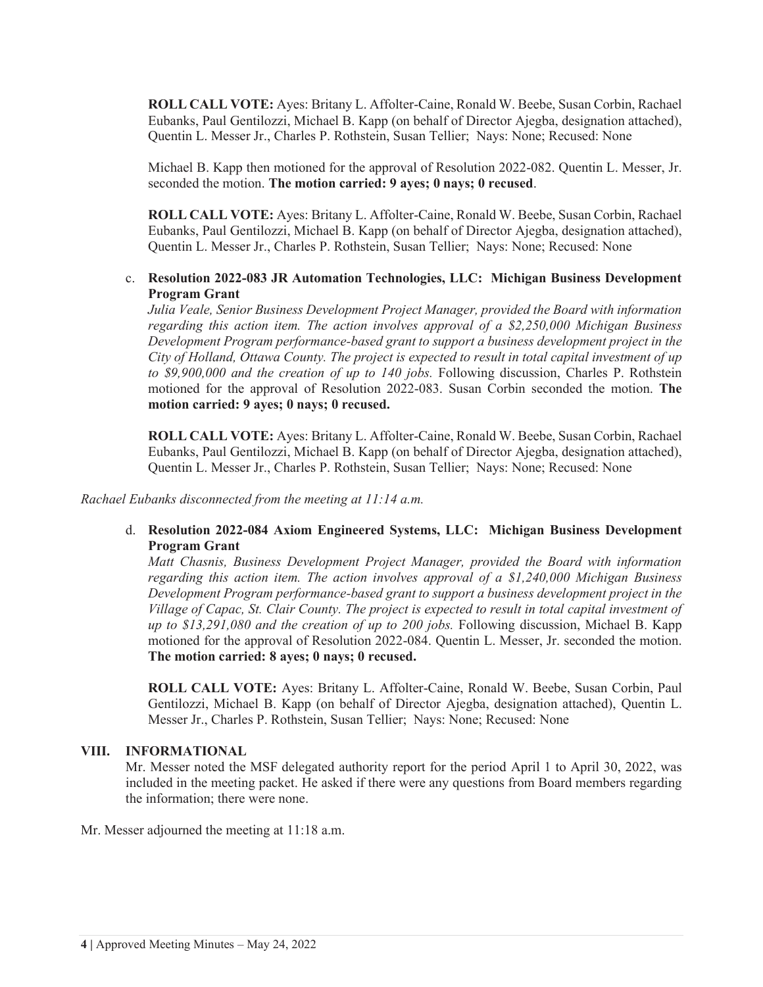**ROLL CALL VOTE:** Ayes: Britany L. Affolter-Caine, Ronald W. Beebe, Susan Corbin, Rachael Eubanks, Paul Gentilozzi, Michael B. Kapp (on behalf of Director Ajegba, designation attached), Quentin L. Messer Jr., Charles P. Rothstein, Susan Tellier; Nays: None; Recused: None

Michael B. Kapp then motioned for the approval of Resolution 2022-082. Quentin L. Messer, Jr. seconded the motion. **The motion carried: 9 ayes; 0 nays; 0 recused**.

**ROLL CALL VOTE:** Ayes: Britany L. Affolter-Caine, Ronald W. Beebe, Susan Corbin, Rachael Eubanks, Paul Gentilozzi, Michael B. Kapp (on behalf of Director Ajegba, designation attached), Quentin L. Messer Jr., Charles P. Rothstein, Susan Tellier; Nays: None; Recused: None

## c. **Resolution 2022-083 JR Automation Technologies, LLC: Michigan Business Development Program Grant**

*Julia Veale, Senior Business Development Project Manager, provided the Board with information regarding this action item. The action involves approval of a \$2,250,000 Michigan Business Development Program performance-based grant to support a business development project in the City of Holland, Ottawa County. The project is expected to result in total capital investment of up to \$9,900,000 and the creation of up to 140 jobs.* Following discussion, Charles P. Rothstein motioned for the approval of Resolution 2022-083. Susan Corbin seconded the motion. **The motion carried: 9 ayes; 0 nays; 0 recused.** 

**ROLL CALL VOTE:** Ayes: Britany L. Affolter-Caine, Ronald W. Beebe, Susan Corbin, Rachael Eubanks, Paul Gentilozzi, Michael B. Kapp (on behalf of Director Ajegba, designation attached), Quentin L. Messer Jr., Charles P. Rothstein, Susan Tellier; Nays: None; Recused: None

*Rachael Eubanks disconnected from the meeting at 11:14 a.m.* 

# d. **Resolution 2022-084 Axiom Engineered Systems, LLC: Michigan Business Development Program Grant**

*Matt Chasnis, Business Development Project Manager, provided the Board with information regarding this action item. The action involves approval of a \$1,240,000 Michigan Business Development Program performance-based grant to support a business development project in the Village of Capac, St. Clair County. The project is expected to result in total capital investment of up to \$13,291,080 and the creation of up to 200 jobs.* Following discussion, Michael B. Kapp motioned for the approval of Resolution 2022-084. Quentin L. Messer, Jr. seconded the motion. **The motion carried: 8 ayes; 0 nays; 0 recused.** 

**ROLL CALL VOTE:** Ayes: Britany L. Affolter-Caine, Ronald W. Beebe, Susan Corbin, Paul Gentilozzi, Michael B. Kapp (on behalf of Director Ajegba, designation attached), Quentin L. Messer Jr., Charles P. Rothstein, Susan Tellier; Nays: None; Recused: None

## **VIII. INFORMATIONAL**

Mr. Messer noted the MSF delegated authority report for the period April 1 to April 30, 2022, was included in the meeting packet. He asked if there were any questions from Board members regarding the information; there were none.

Mr. Messer adjourned the meeting at 11:18 a.m.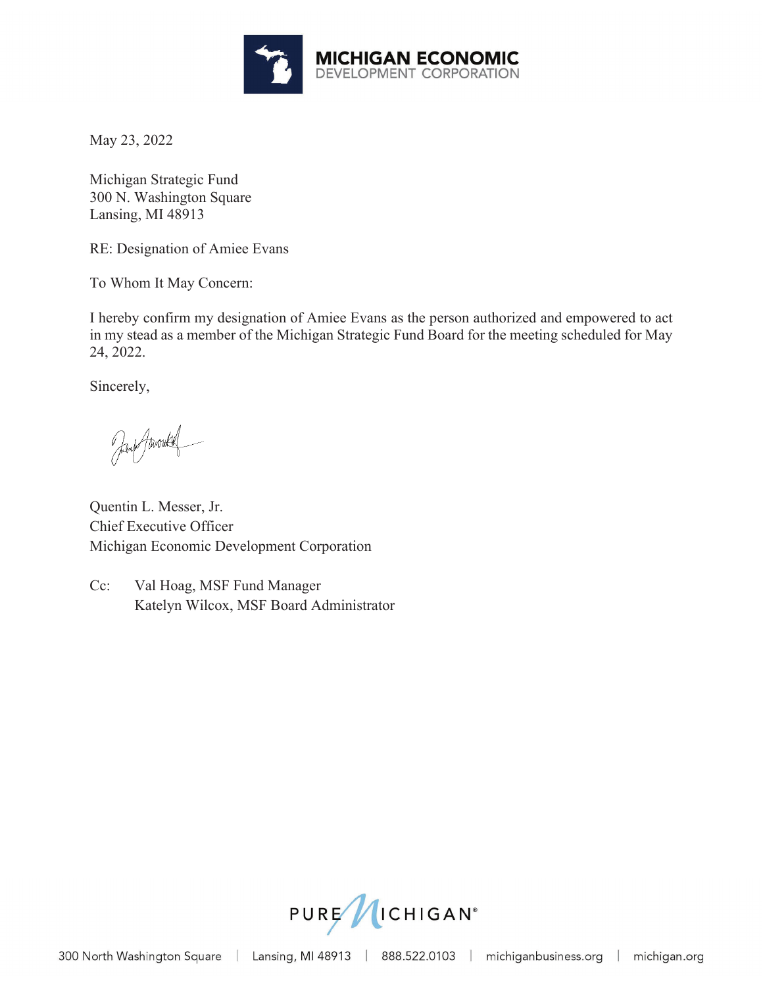

May 23, 2022

Michigan Strategic Fund 300 N. Washington Square Lansing, MI 48913

RE: Designation of Amiee Evans

To Whom It May Concern:

I hereby confirm my designation of Amiee Evans as the person authorized and empowered to act in my stead as a member of the Michigan Strategic Fund Board for the meeting scheduled for May 24, 2022.

Sincerely,

Jan Amoule

Quentin L. Messer, Jr. Chief Executive Officer Michigan Economic Development Corporation

Cc: Val Hoag, MSF Fund Manager Katelyn Wilcox, MSF Board Administrator

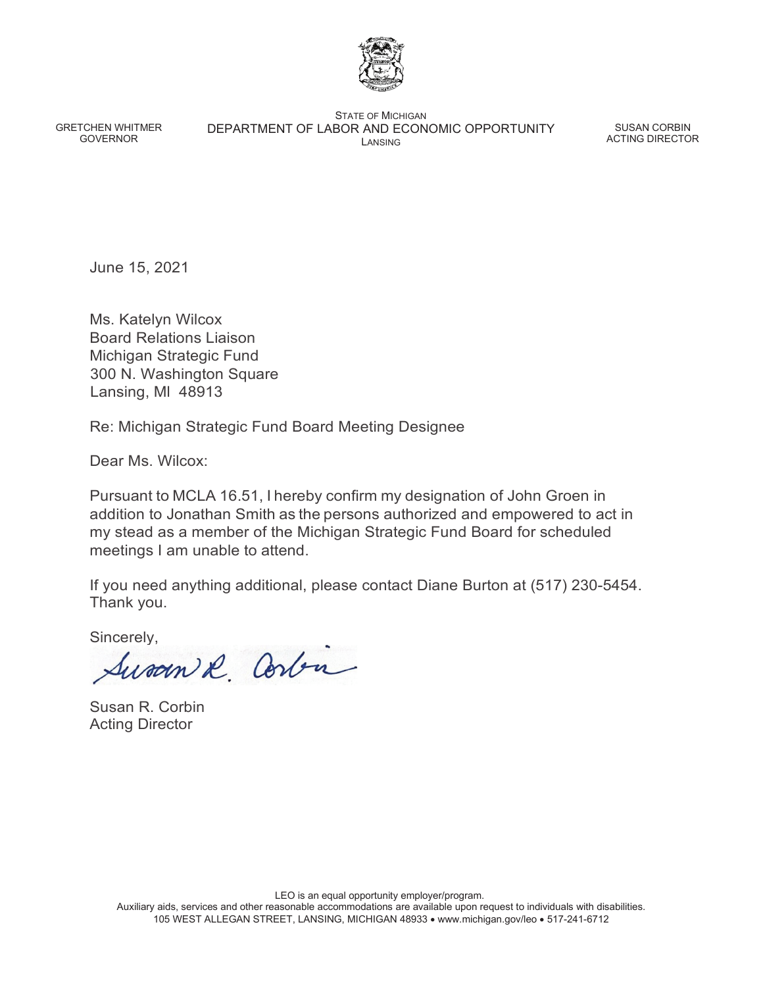

GRETCHEN WHITMER GOVERNOR

STATE OF MICHIGAN DEPARTMENT OF LABOR AND ECONOMIC OPPORTUNITY LANSING

SUSAN CORBIN ACTING DIRECTOR

June 15, 2021

Ms. Katelyn Wilcox Board Relations Liaison Michigan Strategic Fund 300 N. Washington Square Lansing, Ml 48913

Re: Michigan Strategic Fund Board Meeting Designee

Dear Ms. Wilcox:

Pursuant to MCLA 16.51, I hereby confirm my designation of John Groen in addition to Jonathan Smith as the persons authorized and empowered to act in my stead as a member of the Michigan Strategic Fund Board for scheduled meetings I am unable to attend.

If you need anything additional, please contact Diane Burton at (517) 230-5454. Thank you.

Sincerely,

Susan & Corbin

Susan R. Corbin Acting Director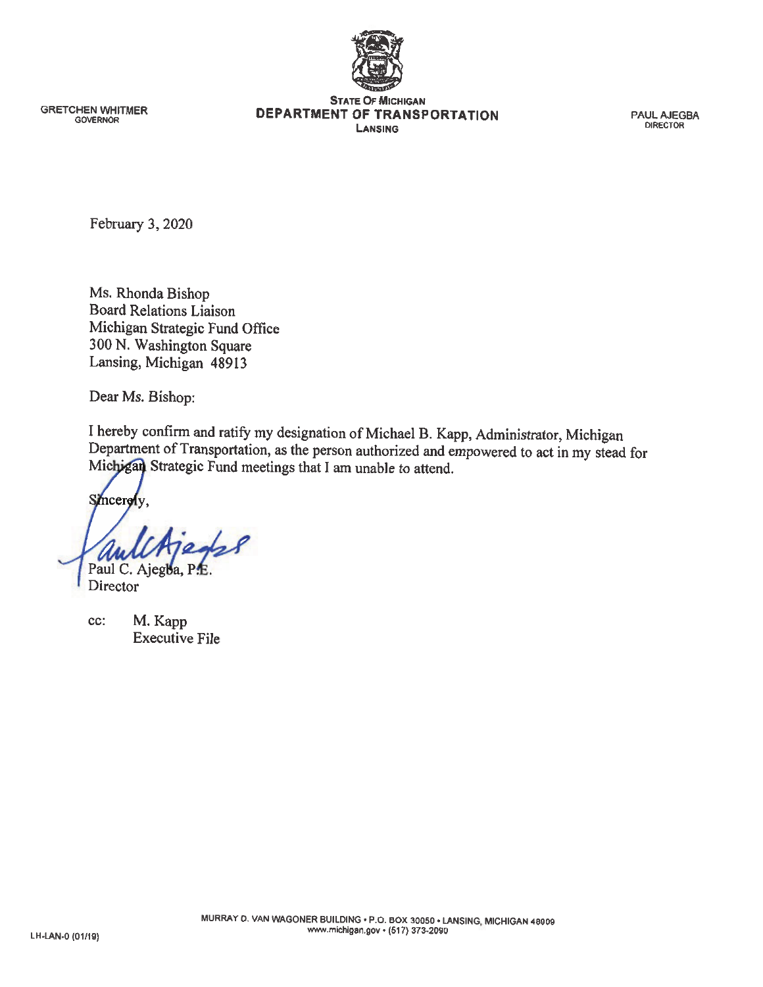

**GRETCHEN WHITMER GOVERNOR** 

**STATE OF MICHIGAN** DEPARTMENT OF TRANSPORTATION LANSING

**PAUL AJEGBA DIRECTOR** 

February 3, 2020

Ms. Rhonda Bishop **Board Relations Liaison** Michigan Strategic Fund Office 300 N. Washington Square Lansing, Michigan 48913

Dear Ms. Bishop:

I hereby confirm and ratify my designation of Michael B. Kapp, Administrator, Michigan Department of Transportation, as the person authorized and empowered to act in my stead for Michigan Strategic Fund meetings that I am unable to attend.

Smcerely,

Paul C. Ajegba,

Director

M. Kapp cc: **Executive File**